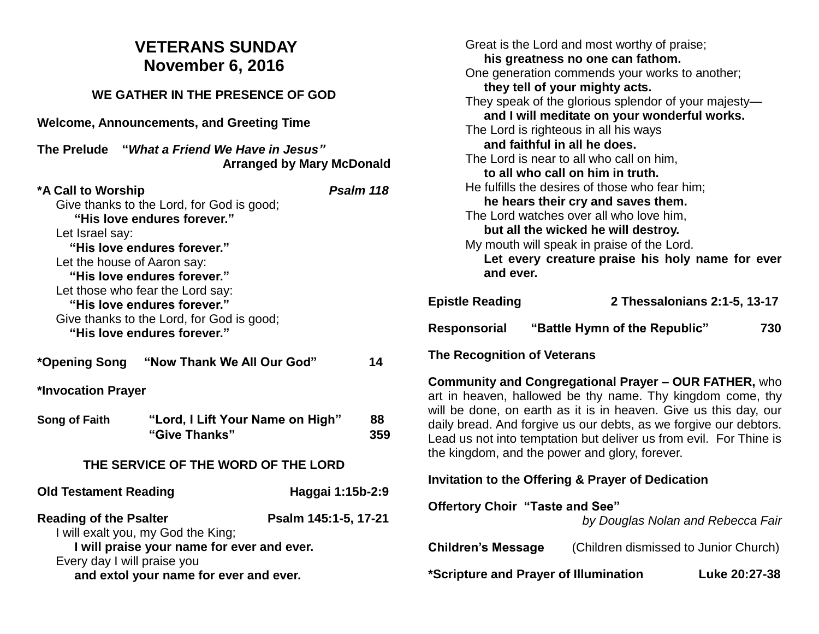## **VETERANS SUNDAY November 6, 2016**

## **WE GATHER IN THE PRESENCE OF GOD Welcome, Announcements, and Greeting Time The Prelude "***What a Friend We Have in Jesus"* **Arranged by Mary McDonald \*A Call to Worship** *Psalm 118* Give thanks to the Lord, for God is good; **"His love endures forever."** Let Israel say:  **"His love endures forever."** Let the house of Aaron say:  **"His love endures forever."** Let those who fear the Lord say:  **"His love endures forever."** Give thanks to the Lord, for God is good;  **"His love endures forever." \*Opening Song "Now Thank We All Our God" 14 \*Invocation Prayer Song of Faith "Lord, I Lift Your Name on High" 88 "Give Thanks" 359 THE SERVICE OF THE WORD OF THE LORD Old Testament Reading Constrained Haggai 1:15b-2:9 Reading of the Psalter Psalm 145:1-5, 17-21** I will exalt you, my God the King; **I will praise your name for ever and ever.** Every day I will praise you **and extol your name for ever and ever.**

Great is the Lord and most worthy of praise; **his greatness no one can fathom.** One generation commends your works to another; **they tell of your mighty acts.** They speak of the glorious splendor of your majesty **and I will meditate on your wonderful works.** The Lord is righteous in all his ways **and faithful in all he does.** The Lord is near to all who call on him, **to all who call on him in truth.** He fulfills the desires of those who fear him; **he hears their cry and saves them.** The Lord watches over all who love him, **but all the wicked he will destroy.** My mouth will speak in praise of the Lord. **Let every creature praise his holy name for ever and ever. Epistle Reading 2 Thessalonians 2:1-5, 13-17 Responsorial "Battle Hymn of the Republic" 730 The Recognition of Veterans Community and Congregational Prayer – OUR FATHER,** who art in heaven, hallowed be thy name. Thy kingdom come, thy will be done, on earth as it is in heaven. Give us this day, our daily bread. And forgive us our debts, as we forgive our debtors. Lead us not into temptation but deliver us from evil. For Thine is the kingdom, and the power and glory, forever. **Invitation to the Offering & Prayer of Dedication Offertory Choir "Taste and See"** *by Douglas Nolan and Rebecca Fair* **Children's Message** (Children dismissed to Junior Church)

**\*Scripture and Prayer of Illumination Luke 20:27-38**